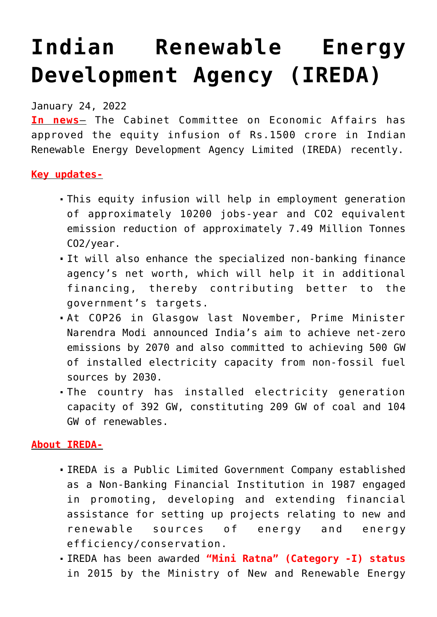## **[Indian Renewable Energy](https://journalsofindia.com/indian-renewable-energy-development-agency-ireda-2/) [Development Agency \(IREDA\)](https://journalsofindia.com/indian-renewable-energy-development-agency-ireda-2/)**

January 24, 2022

**In news**– The Cabinet Committee on Economic Affairs has approved the equity infusion of Rs.1500 crore in Indian Renewable Energy Development Agency Limited (IREDA) recently.

## **Key updates-**

- This equity infusion will help in employment generation of approximately 10200 jobs-year and CO2 equivalent emission reduction of approximately 7.49 Million Tonnes CO2/year.
- It will also enhance the specialized non-banking finance agency's net worth, which will help it in additional financing, thereby contributing better to the government's targets.
- At COP26 in Glasgow last November, Prime Minister Narendra Modi announced India's aim to achieve net-zero emissions by 2070 and also committed to achieving 500 GW of installed electricity capacity from non-fossil fuel sources by 2030.
- The country has installed electricity generation capacity of 392 GW, constituting 209 GW of coal and 104 GW of renewables.

## **About IREDA-**

- IREDA is a Public Limited Government Company established as a Non-Banking Financial Institution in 1987 engaged in promoting, developing and extending financial assistance for setting up projects relating to new and renewable sources of energy and energy efficiency/conservation.
- IREDA has been awarded **"Mini Ratna" (Category -I) status** in 2015 by the Ministry of New and Renewable Energy